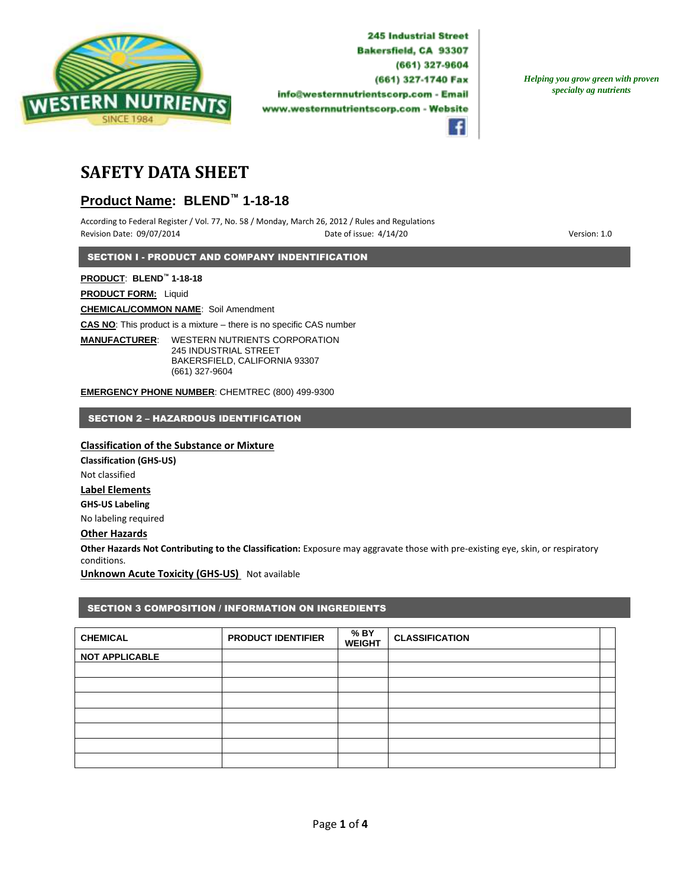

*Helping you grow green with proven specialty ag nutrients*



# **SAFETY DATA SHEET**

# **Product Name: BLEND™ 1-18-18**

According to Federal Register / Vol. 77, No. 58 / Monday, March 26, 2012 / Rules and Regulations Revision Date: 09/07/2014 **Date of issue: 4/14/20** Pate of issue: 4/14/20 **Particle of its and the US** Version: 1.0

SECTION I - PRODUCT AND COMPANY INDENTIFICATION

**PRODUCT**: **BLEND™ 1-18-18**

**PRODUCT FORM:** Liquid

**CHEMICAL/COMMON NAME**: Soil Amendment

**CAS NO**: This product is a mixture – there is no specific CAS number

**MANUFACTURER**: WESTERN NUTRIENTS CORPORATION 245 INDUSTRIAL STREET BAKERSFIELD, CALIFORNIA 93307 (661) 327-9604

**EMERGENCY PHONE NUMBER**: CHEMTREC (800) 499-9300

SECTION 2 – HAZARDOUS IDENTIFICATION

#### **Classification of the Substance or Mixture**

**Classification (GHS-US)** Not classified **Label Elements GHS-US Labeling** No labeling required

### **Other Hazards**

**Other Hazards Not Contributing to the Classification:** Exposure may aggravate those with pre-existing eye, skin, or respiratory conditions.

**Unknown Acute Toxicity (GHS-US)** Not available

### SECTION 3 COMPOSITION / INFORMATION ON INGREDIENTS

| <b>CHEMICAL</b>       | <b>PRODUCT IDENTIFIER</b> | % BY<br><b>WEIGHT</b> | <b>CLASSIFICATION</b> |  |
|-----------------------|---------------------------|-----------------------|-----------------------|--|
| <b>NOT APPLICABLE</b> |                           |                       |                       |  |
|                       |                           |                       |                       |  |
|                       |                           |                       |                       |  |
|                       |                           |                       |                       |  |
|                       |                           |                       |                       |  |
|                       |                           |                       |                       |  |
|                       |                           |                       |                       |  |
|                       |                           |                       |                       |  |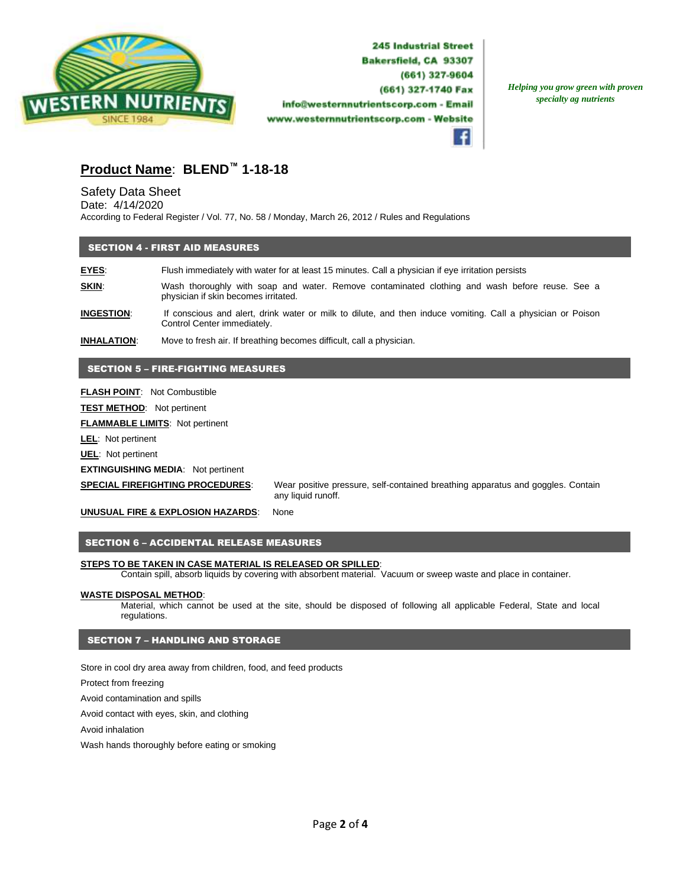

*Helping you grow green with proven specialty ag nutrients*



# **Product Name**: **BLEND™ 1-18-18**

## Safety Data Sheet

Date: 4/14/2020 According to Federal Register / Vol. 77, No. 58 / Monday, March 26, 2012 / Rules and Regulations

#### SECTION 4 - FIRST AID MEASURES

**EYES**: Flush immediately with water for at least 15 minutes. Call a physician if eye irritation persists **SKIN:** Wash thoroughly with soap and water. Remove contaminated clothing and wash before reuse. See a physician if skin becomes irritated.

**INGESTION**: If conscious and alert, drink water or milk to dilute, and then induce vomiting. Call a physician or Poison Control Center immediately.

**INHALATION**: Move to fresh air. If breathing becomes difficult, call a physician.

#### SECTION 5 – FIRE-FIGHTING MEASURES

**FLASH POINT**: Not Combustible

**TEST METHOD**: Not pertinent

**FLAMMABLE LIMITS**: Not pertinent

**LEL**: Not pertinent

**UEL**: Not pertinent

**EXTINGUISHING MEDIA**: Not pertinent

**SPECIAL FIREFIGHTING PROCEDURES**: Wear positive pressure, self-contained breathing apparatus and goggles. Contain any liquid runoff.

**UNUSUAL FIRE & EXPLOSION HAZARDS**: None

#### SECTION 6 – ACCIDENTAL RELEASE MEASURES

#### **STEPS TO BE TAKEN IN CASE MATERIAL IS RELEASED OR SPILLED**:

Contain spill, absorb liquids by covering with absorbent material. Vacuum or sweep waste and place in container.

#### **WASTE DISPOSAL METHOD**:

Material, which cannot be used at the site, should be disposed of following all applicable Federal, State and local regulations.

#### SECTION 7 – HANDLING AND STORAGE

Store in cool dry area away from children, food, and feed products

Protect from freezing

Avoid contamination and spills

Avoid contact with eyes, skin, and clothing

Avoid inhalation

Wash hands thoroughly before eating or smoking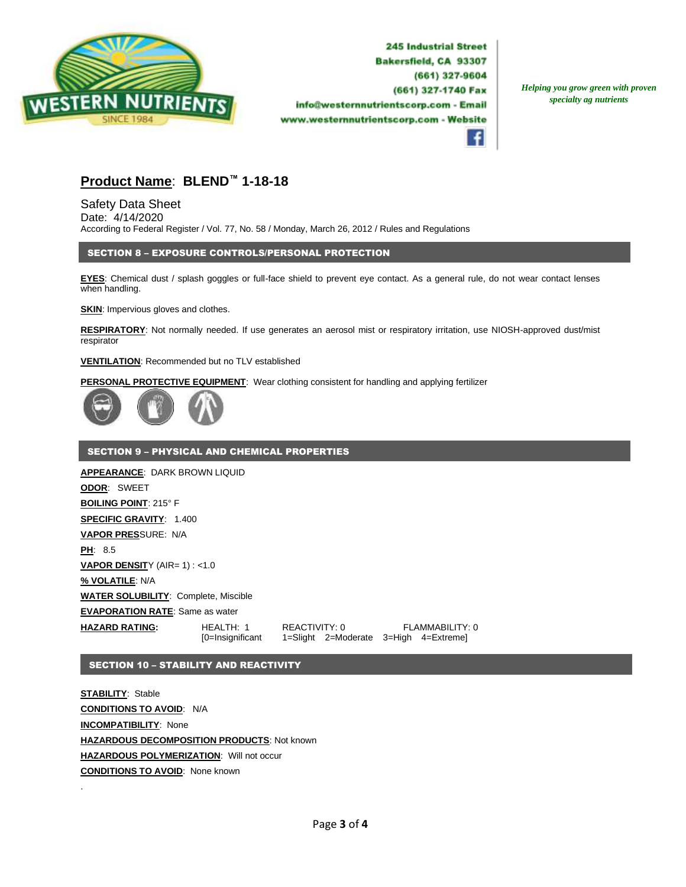

*Helping you grow green with proven specialty ag nutrients*



# **Product Name**: **BLEND™ 1-18-18**

Safety Data Sheet Date: 4/14/2020 According to Federal Register / Vol. 77, No. 58 / Monday, March 26, 2012 / Rules and Regulations

### SECTION 8 – EXPOSURE CONTROLS/PERSONAL PROTECTION

**EYES**: Chemical dust / splash goggles or full-face shield to prevent eye contact. As a general rule, do not wear contact lenses when handling.

**SKIN:** Impervious gloves and clothes.

**RESPIRATORY**: Not normally needed. If use generates an aerosol mist or respiratory irritation, use NIOSH-approved dust/mist respirator

#### **VENTILATION**: Recommended but no TLV established

**PERSONAL PROTECTIVE EQUIPMENT**: Wear clothing consistent for handling and applying fertilizer



#### SECTION 9 – PHYSICAL AND CHEMICAL PROPERTIES

**APPEARANCE**: DARK BROWN LIQUID **ODOR**: SWEET **BOILING POINT**: 215° F **SPECIFIC GRAVITY**: 1.400 **VAPOR PRES**SURE: N/A **PH**: 8.5 **VAPOR DENSITY (AIR= 1) : <1.0 % VOLATILE**: N/A **WATER SOLUBILITY**: Complete, Miscible **EVAPORATION RATE**: Same as water **HAZARD RATING:** HEALTH: 1 REACTIVITY: 0 FLAMMABILITY: 0 [0=Insignificant 1=Slight 2=Moderate 3=High 4=Extreme]

#### SECTION 10 – STABILITY AND REACTIVITY

**STABILITY**: Stable **CONDITIONS TO AVOID**: N/A **INCOMPATIBILITY**: None **HAZARDOUS DECOMPOSITION PRODUCTS**: Not known **HAZARDOUS POLYMERIZATION**: Will not occur **CONDITIONS TO AVOID**: None known

.